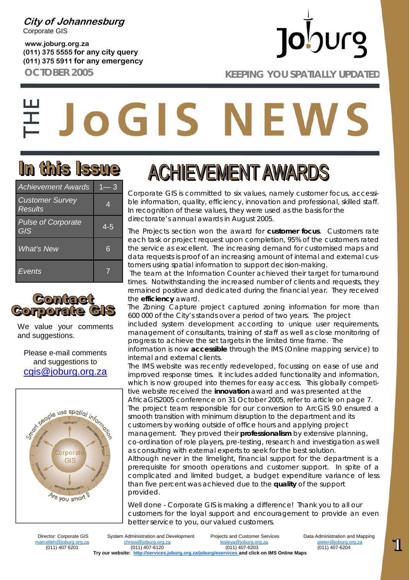**City of Johannesburg**  Corporate GIS

**www.joburg.org.za (011) 375 5555 for any city query (011) 375 5911 for any emergency** 

# **Jo**burg

**OCTOBER 2005 KEEPING YOU SPATIALLY UPDATED** 

# **JOGIS NEWS**

### **In this Issue**

| <b>Achievement Awards</b>         | — 3 |  |
|-----------------------------------|-----|--|
| <b>Customer Survey</b><br>Results | 4   |  |
| <b>Pulse of Corporate</b><br>GIS  | 4-5 |  |
| What's New                        | 6   |  |
| Events                            |     |  |



We value your comments and suggestions.

Please e-mail comments and suggestions to cgis@joburg.org.za



### **ACHIEVEMENT AWARDS**

Corporate GIS is committed to six values, namely customer focus, accessible information, quality, efficiency, innovation and professional, skilled staff. In recognition of these values, they were used as the basis for the directorate's annual awards in August 2005.

The Projects section won the award for *customer focus*. Customers rate each task or project request upon completion, 95% of the customers rated the service as excellent. The increasing demand for customised maps and data requests is proof of an increasing amount of internal and external customers using spatial information to support decision-making.

 The team at the Information Counter achieved their target for turnaround times. Notwithstanding the increased number of clients and requests, they remained positive and dedicated during the financial year. They received the *efficiency* award.

The Zoning Capture project captured zoning information for more than 600 000 of the City's stands over a period of two years. The project included system development according to unique user requirements, management of consultants, training of staff as well as close monitoring of progress to achieve the set targets in the limited time frame. The information is now *accessible* through the IMS (Online mapping service) to internal and external clients.

The IMS website was recently redeveloped, focussing on ease of use and improved response times. It includes added functionality and information, which is now grouped into themes for easy access. This globally competitive website received the *innovation* award and was presented at the AfricaGIS2005 conference on 31 October 2005, refer to article on page 7. The project team responsible for our conversion to ArcGIS 9.0 ensured a smooth transition with minimum disruption to the department and its customers by working outside of office hours and applying project management. They proved their *professionalism* by extensive planning, co-ordination of role players, pre-testing, research and investigation as well as consulting with external experts to seek for the best solution. Although never in the limelight, financial support for the department is a prerequisite for smooth operations and customer support. In spite of a complicated and limited budget, a budget expenditure variance of less than five percent was achieved due to the *quality* of the support provided.

Well done - Corporate GIS is making a difference! Thank you to all our customers for the loyal support and encouragement to provide an even better service to you, our valued customers.

(011) 407-6201

 Director: Corporate GIS System Administration and Development Projects and Customer Services Data Administration and Mapping marcelleh@joburg.org.za chrisw@joburg.org.za lesleya@joburg.org.za pieter@joburg.org.za **Try our website: http://services.joburg.org.za/joburg/eservices and click on IMS Online Maps** 

 $\overline{\mathbb{1}}$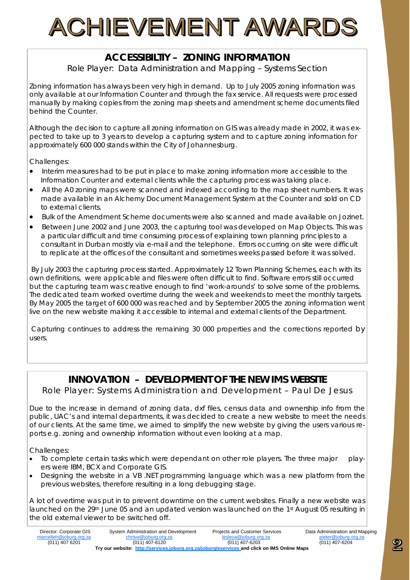# ACHIEVEMENT AWARD

#### **ACCESSIBILTIY – ZONING INFORMATION**

*Role Player: Data Administration and Mapping – Systems Section*

Zoning information has always been very high in demand. Up to July 2005 zoning information was only available at our Information Counter and through the fax service. All requests were processed manually by making copies from the zoning map sheets and amendment scheme documents filed behind the Counter.

Although the decision to capture all zoning information on GIS was already made in 2002, it was expected to take up to 3 years to develop a capturing system and to capture zoning information for approximately 600 000 stands within the City of Johannesburg.

Challenges:

- Interim measures had to be put in place to make zoning information more accessible to the Information Counter and external clients while the capturing process was taking place.
- All the A0 zoning maps were scanned and indexed according to the map sheet numbers. It was made available in an Alchemy Document Management System at the Counter and sold on CD to external clients.
- Bulk of the Amendment Scheme documents were also scanned and made available on Jozinet.
- Between June 2002 and June 2003, the capturing tool was developed on Map Objects. This was a particular difficult and time consuming process of explaining town planning principles to a consultant in Durban mostly via e-mail and the telephone. Errors occurring on site were difficult to replicate at the offices of the consultant and sometimes weeks passed before it was solved.

 By July 2003 the capturing process started. Approximately 12 Town Planning Schemes, each with its own definitions, were applicable and files were often difficult to find. Software errors still occurred but the capturing team was creative enough to find 'work-arounds' to solve some of the problems. The dedicated team worked overtime during the week and weekends to meet the monthly targets. By May 2005 the target of 600 000 was reached and by September 2005 the zoning information went live on the new website making it accessible to internal and external clients of the Department.

 Capturing continues to address the remaining 30 000 properties and the corrections reported by users.

#### **INNOVATION – DEVELOPMENT OF THE NEW IMS WEBSITE**

*Role Player: Systems Administration and Development – Paul De Jesus* 

Due to the increase in demand of zoning data, dxf files, census data and ownership info from the public, UAC's and internal departments, it was decided to create a new website to meet the needs of our clients. At the same time, we aimed to simplify the new website by giving the users various reports e.g. zoning and ownership information without even looking at a map.

Challenges:

- To complete certain tasks which were dependant on other role players. The three major players were IBM, BCX and Corporate GIS.
- Designing the website in a VB .NET programming language which was a new platform from the previous websites, therefore resulting in a long debugging stage.

A lot of overtime was put in to prevent downtime on the current websites. Finally a new website was launched on the 29<sup>th</sup> June 05 and an updated version was launched on the 1<sup>st</sup> August 05 resulting in the old external viewer to be switched off.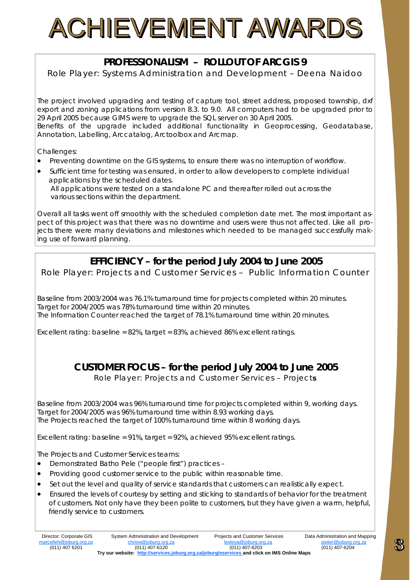# ACHIEVEMENT AWARDS

#### **PROFESSIONALISM – ROLLOUT OF ARCGIS 9**

*Role Player: Systems Administration and Development – Deena Naidoo* 

The project involved upgrading and testing of capture tool, street address, proposed township, dxf export and zoning applications from version 8.3. to 9.0. All computers had to be upgraded prior to 29 April 2005 because GIMS were to upgrade the SQL server on 30 April 2005.

Benefits of the upgrade included additional functionality in Geoprocessing, Geodatabase, Annotation, Labelling, Arccatalog, Arctoolbox and Arcmap.

Challenges:

- Preventing downtime on the GIS systems, to ensure there was no interruption of workflow.
- Sufficient time for testing was ensured, in order to allow developers to complete individual applications by the scheduled dates.

 All applications were tested on a standalone PC and thereafter rolled out across the various sections within the department.

Overall all tasks went off smoothly with the scheduled completion date met. The most important aspect of this project was that there was no downtime and users were thus not affected. Like all projects there were many deviations and milestones which needed to be managed successfully making use of forward planning.

#### **EFFICIENCY – for the period July 2004 to June 2005**

*Role Player: Projects and Customer Services – Public Information Counter* 

Baseline from 2003/2004 was 76.1% turnaround time for projects completed within 20 minutes. Target for 2004/2005 was 78% turnaround time within 20 minutes. The Information Counter reached the target of 78.1% turnaround time within 20 minutes.

Excellent rating: baseline =  $82\%$ , target =  $83\%$ , achieved  $86\%$  excellent ratings.

#### **CUSTOMER FOCUS – for the period July 2004 to June 2005**

*Role Player: Projects and Customer Services – Projects* 

Baseline from 2003/2004 was 96% turnaround time for projects completed within 9, working days. Target for 2004/2005 was 96% turnaround time within 8.93 working days. The Projects reached the target of 100% turnaround time within 8 working days.

Excellent rating: baseline = 91%, target = 92%, achieved 95% excellent ratings.

The Projects and Customer Services teams:

- Demonstrated Batho Pele ("people first") practices –
- Providing good customer service to the public within reasonable time.
- Set out the level and quality of service standards that customers can realistically expect.
- Ensured the levels of courtesy by setting and sticking to standards of behavior for the treatment of customers. Not only have they been polite to customers, but they have given a warm, helpful, friendly service to customers.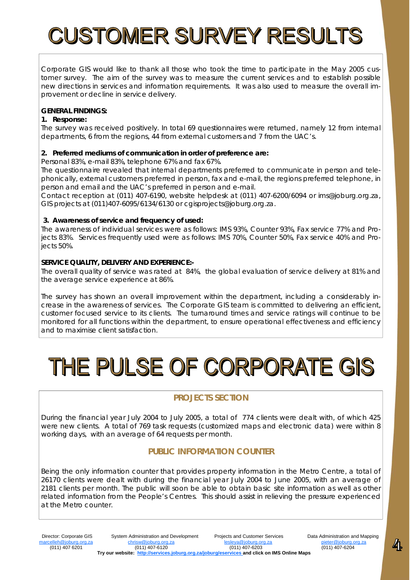## **CUSTOMER SURVEY RESULTS**

Corporate GIS would like to thank all those who took the time to participate in the May 2005 customer survey. The aim of the survey was to measure the current services and to establish possible new directions in services and information requirements. It was also used to measure the overall improvement or decline in service delivery.

#### **GENERAL FINDINGS:**

#### **1. Response:**

The survey was received positively. In total 69 questionnaires were returned, namely 12 from internal departments, 6 from the regions, 44 from external customers and 7 from the UAC's.

#### **2. Preferred mediums of communication in order of preference are:**

Personal 83%, e-mail 83%, telephone 67% and fax 67%.

The questionnaire revealed that internal departments preferred to communicate in person and telephonically, external customers preferred in person, fax and e-mail, the regions preferred telephone, in person and email and the UAC's preferred in person and e-mail.

Contact reception at (011) 407-6190, website helpdesk at (011) 407-6200/6094 or ims@joburg.org.za, GIS projects at (011)407-6095/6134/6130 or cgisprojects@joburg.org.za.

#### **3. Awareness of service and frequency of used:**

The awareness of individual services were as follows: IMS 93%, Counter 93%, Fax service 77% and Projects 83%. Services frequently used were as follows: IMS 70%, Counter 50%, Fax service 40% and Projects 50%.

#### **SERVICE QUALITY, DELIVERY AND EXPERIENCE:-**

The overall quality of service was rated at 84%, the global evaluation of service delivery at 81% and the average service experience at 86%.

The survey has shown an overall improvement within the department, including a considerably increase in the awareness of services. The Corporate GIS team is committed to delivering an efficient, customer focused service to its clients. The turnaround times and service ratings will continue to be monitored for all functions within the department, to ensure operational effectiveness and efficiency and to maximise client satisfaction.

# THE PULSE OF CORPORATE GIS

#### **PROJECTS SECTION**

During the financial year July 2004 to July 2005, a total of 774 clients were dealt with, of which 425 were new clients. A total of 769 task requests (customized maps and electronic data) were within 8 working days, with an average of 64 requests per month.

#### **PUBLIC INFORMATION COUNTER**

Being the only information counter that provides property information in the Metro Centre, a total of 26170 clients were dealt with during the financial year July 2004 to June 2005, with an average of 2181 clients per month. The public will soon be able to obtain basic site information as well as other related information from the People's Centres. This should assist in relieving the pressure experienced at the Metro counter.

 $\mathbf{z}_k$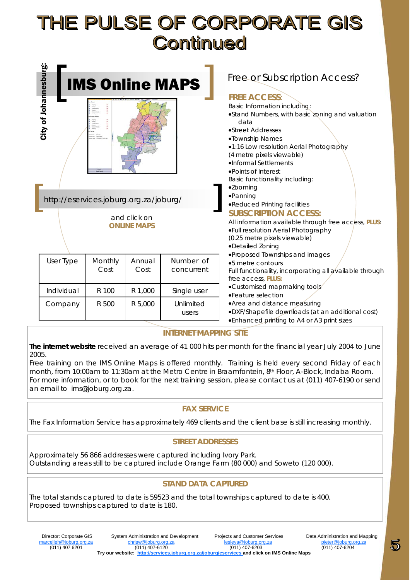### THE PULSE OF CORPORATE GIS **Continued**

| • Points of Interest<br>Basic functionality including:                                                                                                                                                                                                                                                                 |
|------------------------------------------------------------------------------------------------------------------------------------------------------------------------------------------------------------------------------------------------------------------------------------------------------------------------|
| •Zooming<br>·Panning<br>http://eservices.joburg.org.za/joburg/<br>.Reduced Printing facilities<br><b>SUBSCRIPTION ACCESS:</b><br>and click on<br>All information available through free access, PLUS:<br><b>ONLINE MAPS</b><br>.Full resolution Aerial Photography<br>(0.25 metre pixels viewable)<br>•Detailed Zoning |
| •Proposed Townships and images<br>User Type<br>Monthly<br>Number of<br>Annual<br>•5 metre contours<br>Cost<br>Cost<br>concurrent<br>Full functionality, incorporating all available through<br>free access, PLUS:                                                                                                      |
| •Customised mapmaking tools<br>R 1,000<br>Individual<br>R 100<br>Single user<br>•Feature selection                                                                                                                                                                                                                     |
| • Area and distance measuring<br>R 500<br>R 5,000<br>Unlimited<br>Company<br>• DXF/Shapefile downloads (at an additional cost)<br>users<br>. Enhanced printing to A4 or A3 print sizes                                                                                                                                 |

#### **INTERNET MAPPING SITE**

**The internet website** received an average of 41 000 hits per month for the financial year July 2004 to June 2005.

Free training on the IMS Online Maps is offered monthly. Training is held every second Friday of each month, from 10:00am to 11:30am at the Metro Centre in Braamfontein, 8<sup>th</sup> Floor, A-Block, Indaba Room. For more information, or to book for the next training session, please contact us at (011) 407-6190 or send an email to ims@joburg.org.za.

#### **FAX SERVICE**

The Fax Information Service has approximately 469 clients and the client base is still increasing monthly.

#### **STREET ADDRESSES**

Approximately 56 866 addresses were captured including Ivory Park. Outstanding areas still to be captured include Orange Farm (80 000) and Soweto (120 000).

#### **STAND DATA CAPTURED**

The total stands captured to date is 59523 and the total townships captured to date is 400. Proposed townships captured to date is 180.

5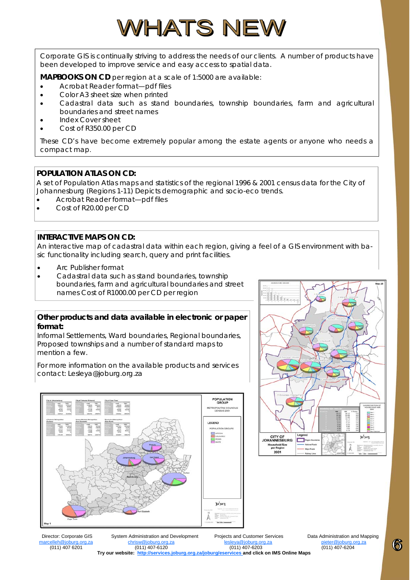### WHATS NEW

Corporate GIS is continually striving to address the needs of our clients. A number of products have been developed to improve service and easy access to spatial data.

**MAPBOOKS ON CD** per region at a scale of 1:5000 are available:

- Acrobat Reader format—pdf files
- Color A3 sheet size when printed
- Cadastral data such as stand boundaries, township boundaries, farm and agricultural boundaries and street names
- Index Cover sheet
- Cost of R350.00 per CD

These CD's have become extremely popular among the estate agents or anyone who needs a compact map.

#### **POPULATION ATLAS ON CD:**

A set of Population Atlas maps and statistics of the regional 1996 & 2001 census data for the City of Johannesburg (Regions 1-11) Depicts demographic and socio-eco trends.

- Acrobat Reader format—pdf files
- Cost of R20.00 per CD

#### **INTERACTIVE MAPS ON CD:**

An interactive map of cadastral data within each region, giving a feel of a GIS environment with basic functionality including search, query and print facilities.

- Arc Publisher format
- Cadastral data such as stand boundaries, township boundaries, farm and agricultural boundaries and street names Cost of R1000.00 per CD per region

#### **Other products and data available in electronic or paper format:**

Informal Settlements, Ward boundaries, Regional boundaries, Proposed townships and a number of standard maps to mention a few.

For more information on the available products and services contact: Lesleya@joburg.org.za





 Director: Corporate GIS System Administration and Development Projects and Customer Services Data Administration and Mapping marcelleh@joburg.org.za chrisw@joburg.org.za lesleya@joburg.org.za pieter@joburg.org.za (011) 407 6201 (011) 407-6120 (011) 407-6203 (011) 407-6204 **Try our website: http://services.joburg.org.za/joburg/eservices and click on IMS Online Maps** 

6